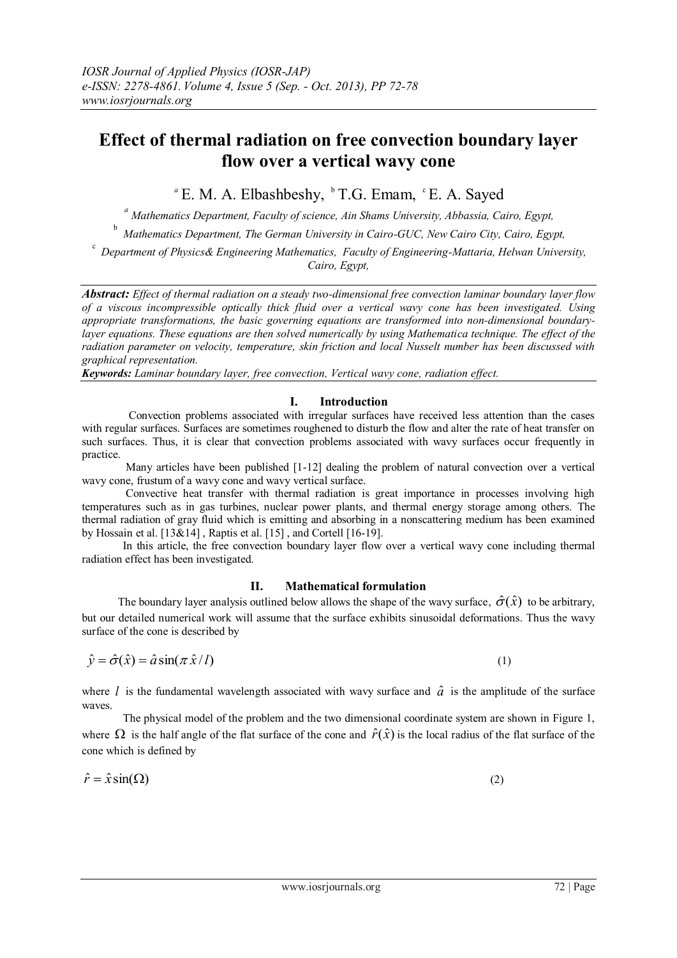# **Effect of thermal radiation on free convection boundary layer flow over a vertical wavy cone**

<sup>*a*</sup> E. M. A. Elbashbeshy, <sup>b</sup> T.G. Emam, <sup>c</sup> E. A. Sayed

*a Mathematics Department, Faculty of science, Ain Shams University, Abbassia, Cairo, Egypt,* 

b *Mathematics Department, The German University in Cairo-GUC, New Cairo City, Cairo, Egypt,* 

c *Department of Physics& Engineering Mathematics, Faculty of Engineering-Mattaria, Helwan University, Cairo, Egypt,* 

*Abstract: Effect of thermal radiation on a steady two-dimensional free convection laminar boundary layer flow of a viscous incompressible optically thick fluid over a vertical wavy cone has been investigated. Using appropriate transformations, the basic governing equations are transformed into non-dimensional boundarylayer equations. These equations are then solved numerically by using Mathematica technique. The effect of the radiation parameter on velocity, temperature, skin friction and local Nusselt number has been discussed with graphical representation.* 

*Keywords: Laminar boundary layer, free convection, Vertical wavy cone, radiation effect.*

# **I. Introduction**

Convection problems associated with irregular surfaces have received less attention than the cases with regular surfaces. Surfaces are sometimes roughened to disturb the flow and alter the rate of heat transfer on such surfaces. Thus, it is clear that convection problems associated with wavy surfaces occur frequently in practice.

Many articles have been published [1-12] dealing the problem of natural convection over a vertical wavy cone, frustum of a wavy cone and wavy vertical surface.

 Convective heat transfer with thermal radiation is great importance in processes involving high temperatures such as in gas turbines, nuclear power plants, and thermal energy storage among others. The thermal radiation of gray fluid which is emitting and absorbing in a nonscattering medium has been examined by Hossain et al. [13&14] , Raptis et al. [15] , and Cortell [16-19].

In this article, the free convection boundary layer flow over a vertical wavy cone including thermal radiation effect has been investigated.

# **II. Mathematical formulation**

The boundary layer analysis outlined below allows the shape of the wavy surface,  $\hat{\sigma}(\hat{x})$  to be arbitrary, but our detailed numerical work will assume that the surface exhibits sinusoidal deformations. Thus the wavy surface of the cone is described by

$$
\hat{y} = \hat{\sigma}(\hat{x}) = \hat{a}\sin(\pi\,\hat{x}/l) \tag{1}
$$

where *l* is the fundamental wavelength associated with wavy surface and  $\hat{a}$  is the amplitude of the surface waves.

The physical model of the problem and the two dimensional coordinate system are shown in Figure 1, where  $\Omega$  is the half angle of the flat surface of the cone and  $\hat{r}(\hat{x})$  is the local radius of the flat surface of the cone which is defined by

$$
\hat{r} = \hat{x}\sin(\Omega) \tag{2}
$$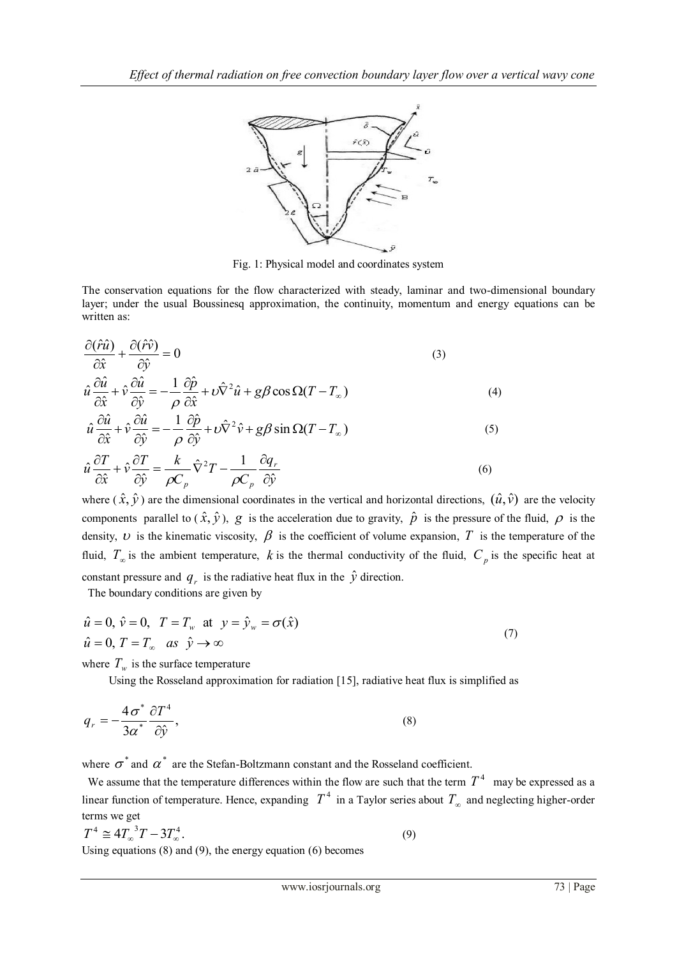

Fig. 1: Physical model and coordinates system

The conservation equations for the flow characterized with steady, laminar and two-dimensional boundary layer; under the usual Boussinesq approximation, the continuity, momentum and energy equations can be written as:

$$
\frac{\partial(\hat{r}\hat{u})}{\partial \hat{x}} + \frac{\partial(\hat{r}\hat{v})}{\partial \hat{y}} = 0
$$
\n
$$
\hat{u}\frac{\partial \hat{u}}{\partial \hat{x}} + \hat{v}\frac{\partial \hat{u}}{\partial \hat{y}} = -\frac{1}{\rho}\frac{\partial \hat{p}}{\partial \hat{x}} + \nu \hat{\nabla}^2 \hat{u} + g\beta \cos \Omega (T - T_{\infty})
$$
\n(4)

$$
\hat{u}\frac{\partial\hat{u}}{\partial\hat{x}} + \hat{v}\frac{\partial\hat{u}}{\partial\hat{y}} = -\frac{1}{\rho}\frac{\partial\hat{p}}{\partial\hat{y}} + \nu\hat{\nabla}^2\hat{v} + g\beta\sin\Omega(T - T_{\infty})
$$
\n(5)

$$
\hat{u}\frac{\partial T}{\partial \hat{x}} + \hat{v}\frac{\partial T}{\partial \hat{y}} = \frac{k}{\rho C_p}\hat{\nabla}^2 T - \frac{1}{\rho C_p}\frac{\partial q_r}{\partial \hat{y}}
$$
\n(6)

where  $(\hat{x}, \hat{y})$  are the dimensional coordinates in the vertical and horizontal directions,  $(\hat{u}, \hat{v})$  are the velocity components parallel to  $(\hat{x}, \hat{y})$ , g is the acceleration due to gravity,  $\hat{p}$  is the pressure of the fluid,  $\rho$  is the density,  $\nu$  is the kinematic viscosity,  $\beta$  is the coefficient of volume expansion,  $T$  is the temperature of the fluid,  $T_{\infty}$  is the ambient temperature, k is the thermal conductivity of the fluid,  $C_p$  is the specific heat at constant pressure and  $q_r$  is the radiative heat flux in the  $\hat{y}$  direction.

The boundary conditions are given by

$$
\hat{u} = 0, \ \hat{v} = 0, \ \ T = T_w \ \text{at} \ \ y = \hat{y}_w = \sigma(\hat{x})
$$
\n
$$
\hat{u} = 0, \ T = T_w \ \text{as} \ \hat{y} \to \infty
$$
\n
$$
(7)
$$

where  $T_w$  is the surface temperature

Using the Rosseland approximation for radiation [15], radiative heat flux is simplified as

$$
q_r = -\frac{4\sigma^*}{3a^*} \frac{\partial T^4}{\partial \hat{y}},\tag{8}
$$

where  $\sigma^*$  and  $\alpha^*$  are the Stefan-Boltzmann constant and the Rosseland coefficient.

We assume that the temperature differences within the flow are such that the term  $T<sup>4</sup>$  may be expressed as a linear function of temperature. Hence, expanding  $T^4$  in a Taylor series about  $T_{\infty}$  and neglecting higher-order terms we get

$$
T^4 \cong 4T_{\infty}^3 T - 3T_{\infty}^4. \tag{9}
$$

Using equations (8) and (9), the energy equation (6) becomes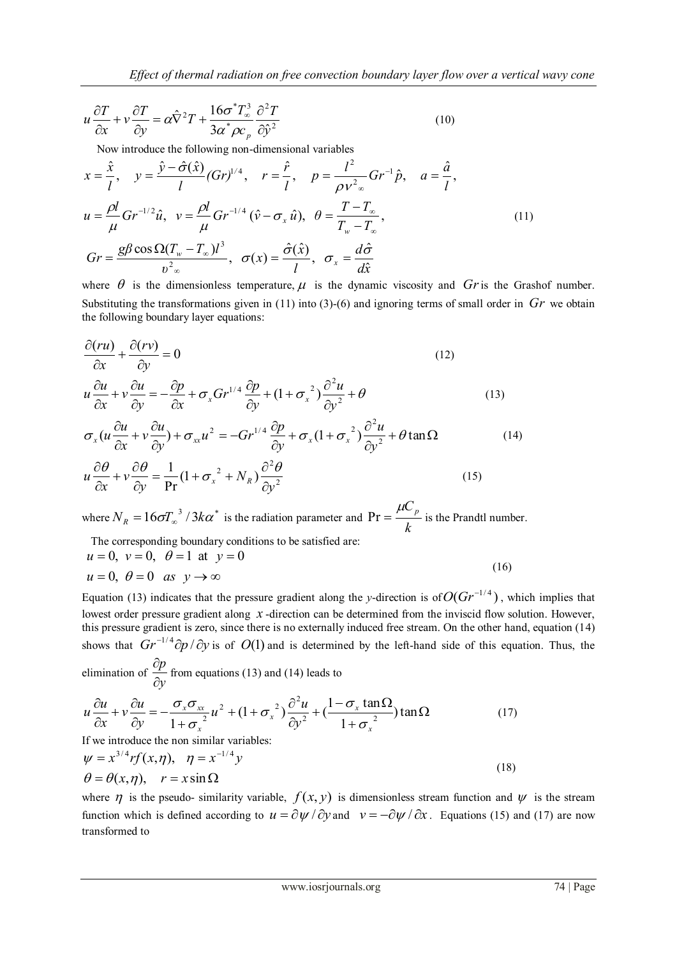$$
u\frac{\partial T}{\partial x} + v\frac{\partial T}{\partial y} = \alpha \hat{\nabla}^2 T + \frac{16\sigma^* T_\infty^3}{3\alpha^* \rho c_p} \frac{\partial^2 T}{\partial \hat{y}^2}
$$
(10)

Now introduce the following non-dimensional variables

Now introduce the following non-dimensional variables  
\n
$$
x = \frac{\hat{x}}{l}, y = \frac{\hat{y} - \hat{\sigma}(\hat{x})}{l} (Gr)^{1/4}, r = \frac{\hat{r}}{l}, p = \frac{l^2}{\rho v^2} Gr^{-1} \hat{p}, a = \frac{\hat{a}}{l},
$$
  
\n $u = \frac{\rho l}{\mu} Gr^{-1/2} \hat{u}, v = \frac{\rho l}{\mu} Gr^{-1/4} (\hat{v} - \sigma_x \hat{u}), \theta = \frac{T - T_\infty}{T_w - T_\infty},$   
\n $Gr = \frac{g\beta \cos \Omega (T_w - T_\infty)l^3}{v^2} , \sigma(x) = \frac{\hat{\sigma}(\hat{x})}{l}, \sigma_x = \frac{d\hat{\sigma}}{d\hat{x}}$  (11)

where  $\theta$  is the dimensionless temperature,  $\mu$  is the dynamic viscosity and  $Gr$  is the Grashof number. Substituting the transformations given in (11) into (3)-(6) and ignoring terms of small order in Gr we obtain the following boundary layer equations:

$$
\frac{\partial (ru)}{\partial x} + \frac{\partial (rv)}{\partial y} = 0 \tag{12}
$$
\n
$$
u \frac{\partial u}{\partial x} + v \frac{\partial u}{\partial y} = -\frac{\partial p}{\partial x} + \sigma_x G r^{1/4} \frac{\partial p}{\partial y} + (1 + \sigma_x^2) \frac{\partial^2 u}{\partial y^2} + \theta \tag{13}
$$
\n
$$
\sigma_x (u \frac{\partial u}{\partial x} + v \frac{\partial u}{\partial y}) + \sigma_{xx} u^2 = -G r^{1/4} \frac{\partial p}{\partial y} + \sigma_x (1 + \sigma_x^2) \frac{\partial^2 u}{\partial y^2} + \theta \tan \Omega \tag{14}
$$
\n
$$
u \frac{\partial \theta}{\partial x} + v \frac{\partial \theta}{\partial y} = \frac{1}{\text{Pr}} (1 + \sigma_x^2 + N_R) \frac{\partial^2 \theta}{\partial y^2} \tag{15}
$$

where  $N_R = 16\sigma T_\infty^3 / 3k\alpha^*$  is the radiation parameter and  $\text{Pr} = \frac{\mu c}{k}$  $\Pr = \frac{\mu C_p}{I}$  is the Prandtl number. The corresponding boundary conditions to be satisfied are:

The corresponding boundary conditions to be satisfied are.  
\n
$$
u = 0, v = 0, \theta = 1
$$
 at  $y = 0$   
\n $u = 0, \theta = 0$  as  $y \rightarrow \infty$  (16)

Equation (13) indicates that the pressure gradient along the *y*-direction is of  $O(Gr^{-1/4})$ , which implies that lowest order pressure gradient along  $x$ -direction can be determined from the inviscid flow solution. However, this pressure gradient is zero, since there is no externally induced free stream. On the other hand, equation (14) shows that  $Gr^{-1/4}$  $\partial p / \partial y$  is of  $O(1)$  and is determined by the left-hand side of this equation. Thus, the elimination of  $\frac{dP}{dy}$ *p*  $\partial$  $\frac{\partial p}{\partial r}$  from equations (13) and (14) leads to

$$
u\frac{\partial u}{\partial x} + v\frac{\partial u}{\partial y} = -\frac{\sigma_x \sigma_{xx}}{1 + \sigma_x^2} u^2 + (1 + \sigma_x^2) \frac{\partial^2 u}{\partial y^2} + (\frac{1 - \sigma_x \tan \Omega}{1 + \sigma_x^2}) \tan \Omega
$$
 (17)

If we introduce the non similar variables:

$$
\psi = x^{3/4} rf(x, \eta), \quad \eta = x^{-1/4} y
$$
  
\n
$$
\theta = \theta(x, \eta), \quad r = x \sin \Omega
$$
\n(18)

where  $\eta$  is the pseudo- similarity variable,  $f(x, y)$  is dimensionless stream function and  $\psi$  is the stream function which is defined according to  $u = \frac{\partial \psi}{\partial y}$  and  $v = -\frac{\partial \psi}{\partial x}$ . Equations (15) and (17) are now transformed to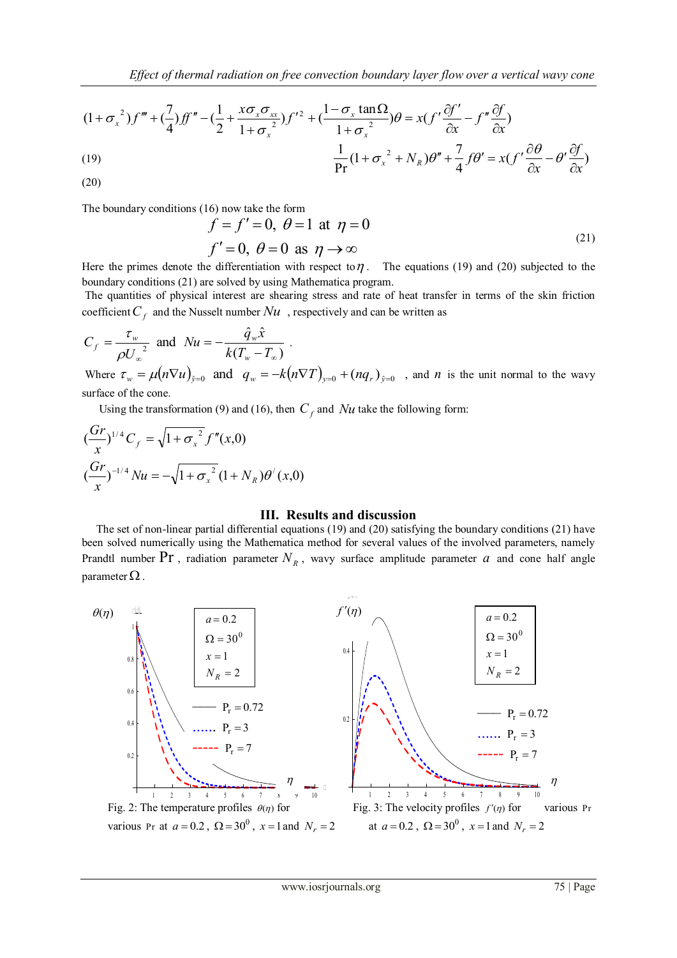$$
(1 + \sigma_x^2)f''' + (\frac{7}{4})ff'' - (\frac{1}{2} + \frac{x\sigma_x\sigma_{xx}}{1 + \sigma_x^2})f'^2 + (\frac{1 - \sigma_x \tan\Omega}{1 + \sigma_x^2})\theta = x(f'\frac{\partial f'}{\partial x} - f''\frac{\partial f}{\partial x})
$$
  
(19)  

$$
\frac{1}{\text{Pr}}(1 + \sigma_x^2 + N_R)\theta'' + \frac{7}{4}f\theta' = x(f'\frac{\partial\theta}{\partial x} - \theta'\frac{\partial f}{\partial x})
$$

(20)

The boundary conditions (16) now take the form

$$
\begin{aligned}\n\hat{f} &= f' = 0, \ \theta = 1 \text{ at } \eta = 0 \\
f' &= 0, \ \theta = 0 \text{ as } \eta \to \infty\n\end{aligned} \tag{21}
$$

Here the primes denote the differentiation with respect to  $\eta$ . The equations (19) and (20) subjected to the boundary conditions (21) are solved by using Mathematica program.

The quantities of physical interest are shearing stress and rate of heat transfer in terms of the skin friction coefficient  $C_f$  and the Nusselt number  $Nu$ , respectively and can be written as

$$
C_f = \frac{\tau_w}{\rho U_\infty^2} \text{ and } Nu = -\frac{\hat{q}_w \hat{x}}{k(T_w - T_\infty)}.
$$

Where  $\tau_w = \mu(n\nabla u)_{\hat{y}=0}$  and  $q_w = -k(n\nabla T)_{y=0} + (nq_r)_{\hat{y}=0}$ , and *n* is the unit normal to the wavy surface of the cone.

Using the transformation (9) and (16), then  $C_f$  and  $Nu$  take the following form:

$$
\begin{aligned} \n\left(\frac{Gr}{x}\right)^{1/4} C_f &= \sqrt{1 + \sigma_x^2} f''(x,0) \\ \n\left(\frac{Gr}{x}\right)^{-1/4} Nu &= -\sqrt{1 + \sigma_x^2} \left(1 + N_R\right) \theta'(x,0) \n\end{aligned}
$$

## **III. Results and discussion**

 The set of non-linear partial differential equations (19) and (20) satisfying the boundary conditions (21) have been solved numerically using the Mathematica method for several values of the involved parameters, namely Prandtl number Pr, radiation parameter  $N_R$ , wavy surface amplitude parameter  $a$  and cone half angle parameter  $\Omega$  .

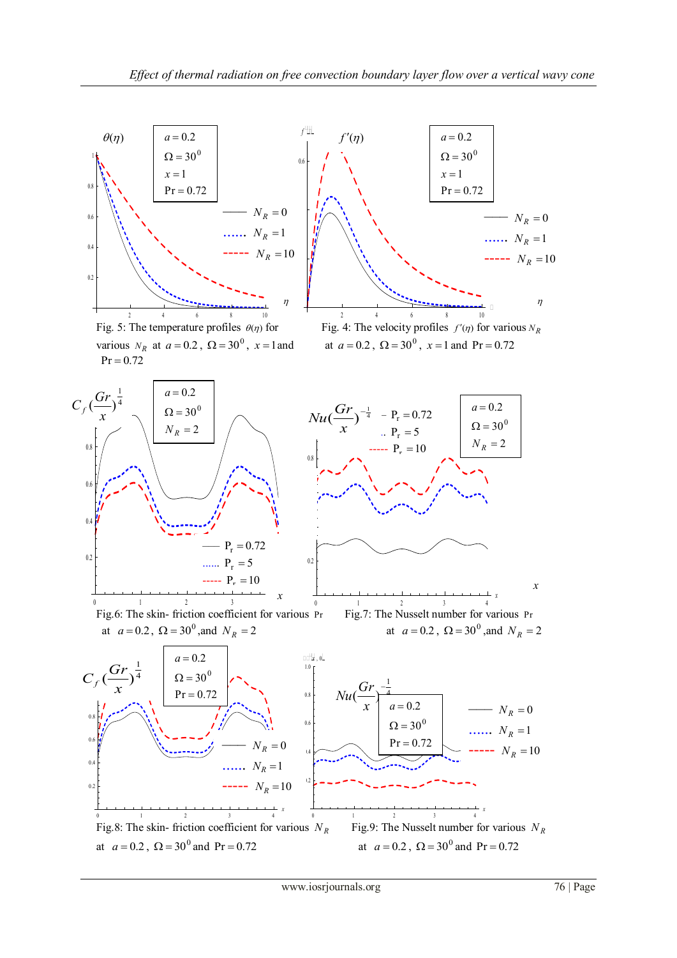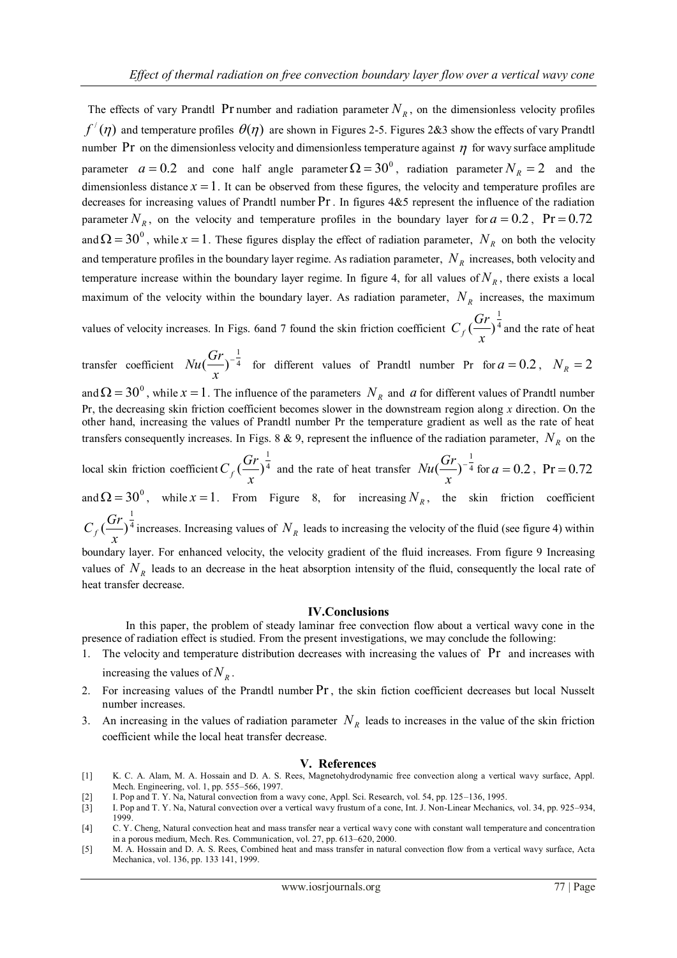The effects of vary Prandtl Pr number and radiation parameter  $N_R$ , on the dimensionless velocity profiles  $f'(\eta)$  and temperature profiles  $\theta(\eta)$  are shown in Figures 2-5. Figures 2&3 show the effects of vary Prandtl number Pr on the dimensionless velocity and dimensionless temperature against  $\eta$  for wavy surface amplitude parameter  $a = 0.2$  and cone half angle parameter  $\Omega = 30^\circ$ , radiation parameter  $N_R = 2$  and the dimensionless distance  $x = 1$ . It can be observed from these figures, the velocity and temperature profiles are decreases for increasing values of Prandtl number Pr . In figures 4&5 represent the influence of the radiation parameter  $N_R$ , on the velocity and temperature profiles in the boundary layer for  $a = 0.2$ , Pr = 0.72 and  $\Omega = 30^{\circ}$ , while  $x = 1$ . These figures display the effect of radiation parameter,  $N_R$  on both the velocity and temperature profiles in the boundary layer regime. As radiation parameter,  $N_R$  increases, both velocity and temperature increase within the boundary layer regime. In figure 4, for all values of  $N<sub>R</sub>$ , there exists a local maximum of the velocity within the boundary layer. As radiation parameter,  $N_R$  increases, the maximum

values of velocity increases. In Figs. 6and 7 found the skin friction coefficient  $C_f$   $\left(\frac{Q_f}{Q}\right)^4$ 1  $\left(\frac{U}{U}\right)$  $C_f \left(\frac{Gr}{x}\right)^{\frac{1}{4}}$  and the rate of heat

transfer coefficient  $Nu(\frac{3.1}{1.1})^{-4}$ 1  $\left(\frac{U}{U}\right)^{-}$ *x*  $Nu(\frac{Gr}{r})^{-\frac{1}{4}}$  for different values of Prandtl number Pr for  $a = 0.2$ ,  $N_R = 2$ and  $\Omega = 30^{\circ}$ , while  $x = 1$ . The influence of the parameters  $N_R$  and  $a$  for different values of Prandtl number Pr, the decreasing skin friction coefficient becomes slower in the downstream region along *x* direction. On the other hand, increasing the values of Prandtl number Pr the temperature gradient as well as the rate of heat transfers consequently increases. In Figs. 8  $\&$  9, represent the influence of the radiation parameter,  $N_R$  on the

local skin friction coefficient  $C_f$   $\left(\frac{\Delta T}{\Delta}\right)^4$ 1  $\left(\frac{U}{U}\right)$  $C_f \left(\frac{Gr}{x}\right)^{\frac{1}{4}}$  and the rate of heat transfer  $Nu \left(\frac{Gr}{x}\right)^{-\frac{1}{4}}$ 1  $\left(\frac{U}{U}\right)^{-}$ *x*  $Nu(\frac{Gr}{r})^{-\frac{1}{4}}$  for  $a = 0.2$ , Pr = 0.72

and  $\Omega = 30^\circ$ , while  $x = 1$ . From Figure 8, for increasing  $N_R$ , the skin friction coefficient 1

4  $\left(\frac{U}{U}\right)$  $C_f \left(\frac{Gr}{x}\right)^{\frac{1}{4}}$  increases. Increasing values of  $N_R$  leads to increasing the velocity of the fluid (see figure 4) within

boundary layer. For enhanced velocity, the velocity gradient of the fluid increases. From figure 9 Increasing values of  $N_R$  leads to an decrease in the heat absorption intensity of the fluid, consequently the local rate of heat transfer decrease.

#### **IV.Conclusions**

 In this paper, the problem of steady laminar free convection flow about a vertical wavy cone in the presence of radiation effect is studied. From the present investigations, we may conclude the following:

- 1. The velocity and temperature distribution decreases with increasing the values of Pr and increases with increasing the values of  $N_R$ .
- 2. For increasing values of the Prandtl number Pr , the skin fiction coefficient decreases but local Nusselt number increases.
- 3. An increasing in the values of radiation parameter  $N_R$  leads to increases in the value of the skin friction coefficient while the local heat transfer decrease.

### **V. References**

- [1] K. C. A. Alam, M. A. Hossain and D. A. S. Rees, Magnetohydrodynamic free convection along a vertical wavy surface, Appl. Mech. Engineering, vol. 1, pp. 555–566, 1997.
- I. Pop and T. Y. Na, Natural convection from a wavy cone, Appl. Sci. Research, vol. 54, pp. 125-136, 1995.

- [4] C. Y. Cheng, Natural convection heat and mass transfer near a vertical wavy cone with constant wall temperature and concentration in a porous medium, Mech. Res. Communication, vol. 27, pp. 613–620, 2000.
- [5] M. A. Hossain and D. A. S. Rees, Combined heat and mass transfer in natural convection flow from a vertical wavy surface, Acta Mechanica, vol. 136, pp. 133 141, 1999.

<sup>[3]</sup> I. Pop and T. Y. Na, Natural convection over a vertical wavy frustum of a cone, Int. J. Non-Linear Mechanics, vol. 34, pp. 925–934, 1999.